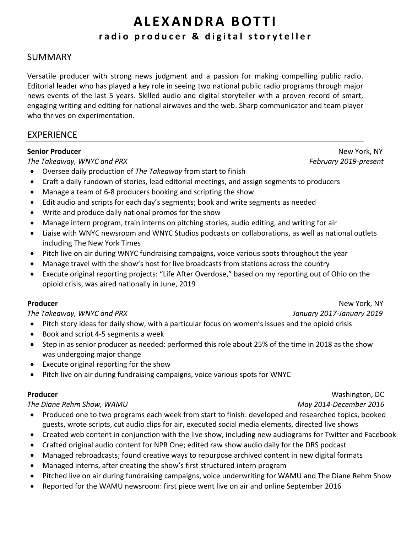# **A L E X A N D R A B O T T I r a d i o p r o d u c e r & d i g i t a l s t o r y t e l l e r**

### SUMMARY

Versatile producer with strong news judgment and a passion for making compelling public radio. Editorial leader who has played a key role in seeing two national public radio programs through major news events of the last 5 years. Skilled audio and digital storyteller with a proven record of smart, engaging writing and editing for national airwaves and the web. Sharp communicator and team player who thrives on experimentation.

### EXPERIENCE

*The Takeaway, WNYC and PRX**February 2019-present*

- Oversee daily production of *The Takeaway* from start to finish
- Craft a daily rundown of stories, lead editorial meetings, and assign segments to producers
- Manage a team of 6-8 producers booking and scripting the show
- Edit audio and scripts for each day's segments; book and write segments as needed
- Write and produce daily national promos for the show
- Manage intern program, train interns on pitching stories, audio editing, and writing for air
- Liaise with WNYC newsroom and WNYC Studios podcasts on collaborations, as well as national outlets including The New York Times
- Pitch live on air during WNYC fundraising campaigns, voice various spots throughout the year
- Manage travel with the show's host for live broadcasts from stations across the country
- Execute original reporting projects: "Life After Overdose," based on my reporting out of Ohio on the opioid crisis, was aired nationally in June, 2019

*The Takeaway, WNYC and PRX**January 2017-January 2019*

- Pitch story ideas for daily show, with a particular focus on women's issues and the opioid crisis
- Book and script 4-5 segments a week
- Step in as senior producer as needed: performed this role about 25% of the time in 2018 as the show was undergoing major change
- Execute original reporting for the show
- Pitch live on air during fundraising campaigns, voice various spots for WNYC

### *The Diane Rehm Show, WAMU**May 2014-December 2016*

- Produced one to two programs each week from start to finish: developed and researched topics, booked guests, wrote scripts, cut audio clips for air, executed social media elements, directed live shows
- Created web content in conjunction with the live show, including new audiograms for Twitter and Facebook
- Crafted original audio content for NPR One; edited raw show audio daily for the DRS podcast
- Managed rebroadcasts; found creative ways to repurpose archived content in new digital formats
- Managed interns, after creating the show's first structured intern program
- Pitched live on air during fundraising campaigns, voice underwriting for WAMU and The Diane Rehm Show
- Reported for the WAMU newsroom: first piece went live on air and online September 2016

**Senior Producer** New York, NY

**Producer** New York, NY

**Producer** Washington, DC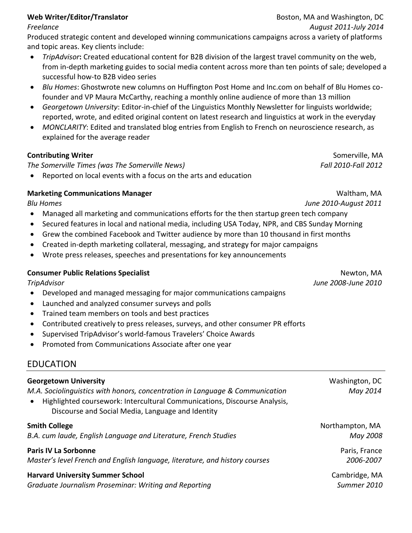### *Freelance August 2011-July 2014*

Produced strategic content and developed winning communications campaigns across a variety of platforms and topic areas. Key clients include:

- *TripAdvisor***:** Created educational content for B2B division of the largest travel community on the web, from in-depth marketing guides to social media content across more than ten points of sale; developed a successful how-to B2B video series
- *Blu Homes*: Ghostwrote new columns on Huffington Post Home and Inc.com on behalf of Blu Homes cofounder and VP Maura McCarthy, reaching a monthly online audience of more than 13 million
- *Georgetown University*: Editor-in-chief of the Linguistics Monthly Newsletter for linguists worldwide; reported, wrote, and edited original content on latest research and linguistics at work in the everyday
- *MONCLARITY*: Edited and translated blog entries from English to French on neuroscience research, as explained for the average reader

### **Contributing Writer** Somerville, MA

*The Somerville Times (was The Somerville News) Fall 2010-Fall 2012*

• Reported on local events with a focus on the arts and education

### **Marketing Communications Manager and School School Communications Manager and School Communications Manager and School Communications Manager and School Communications Manager and School Communications Manager and School**

*Blu Homes June 2010-August 2011*

- Managed all marketing and communications efforts for the then startup green tech company
- Secured features in local and national media, including USA Today, NPR, and CBS Sunday Morning
- Grew the combined Facebook and Twitter audience by more than 10 thousand in first months
- Created in-depth marketing collateral, messaging, and strategy for major campaigns
- Wrote press releases, speeches and presentations for key announcements

### **Consumer Public Relations Specialist** Newton, MA

- Developed and managed messaging for major communications campaigns
- Launched and analyzed consumer surveys and polls
- Trained team members on tools and best practices
- Contributed creatively to press releases, surveys, and other consumer PR efforts
- Supervised TripAdvisor's world-famous Travelers' Choice Awards
- Promoted from Communications Associate after one year

## EDUCATION

| <b>Georgetown University</b>                                                                                                                                                                                   | Washington, DC  |
|----------------------------------------------------------------------------------------------------------------------------------------------------------------------------------------------------------------|-----------------|
| M.A. Sociolinguistics with honors, concentration in Language & Communication<br>Highlighted coursework: Intercultural Communications, Discourse Analysis,<br>Discourse and Social Media, Language and Identity | May 2014        |
| <b>Smith College</b>                                                                                                                                                                                           | Northampton, MA |
| B.A. cum laude, English Language and Literature, French Studies                                                                                                                                                | May 2008        |
| <b>Paris IV La Sorbonne</b>                                                                                                                                                                                    | Paris, France   |
| Master's level French and English language, literature, and history courses                                                                                                                                    | 2006-2007       |
| <b>Harvard University Summer School</b>                                                                                                                                                                        | Cambridge, MA   |
| Graduate Journalism Proseminar: Writing and Reporting                                                                                                                                                          | Summer 2010     |

*TripAdvisor June 2008-June 2010*

**Web Writer/Editor/Translator** *Boston, MA and Washington***, DC**